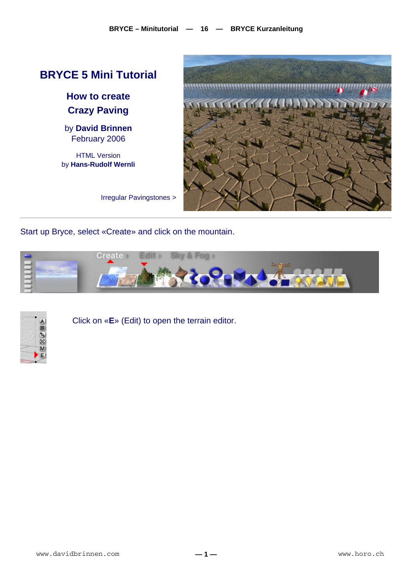

Start up Bryce, select «Create» and click on the mountain.





Click on «**E**» (Edit) to open the terrain editor.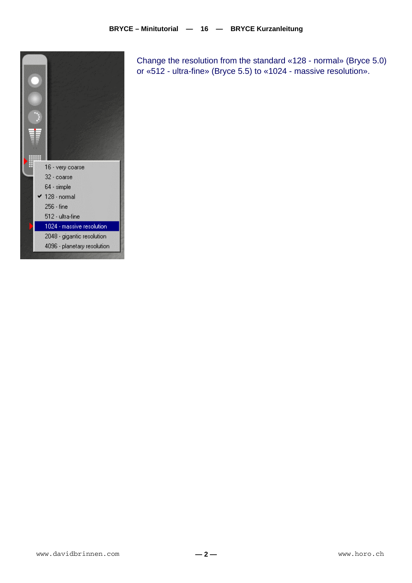

Change the resolution from the standard «128 - normal» (Bryce 5.0) or «512 - ultra-fine» (Bryce 5.5) to «1024 - massive resolution».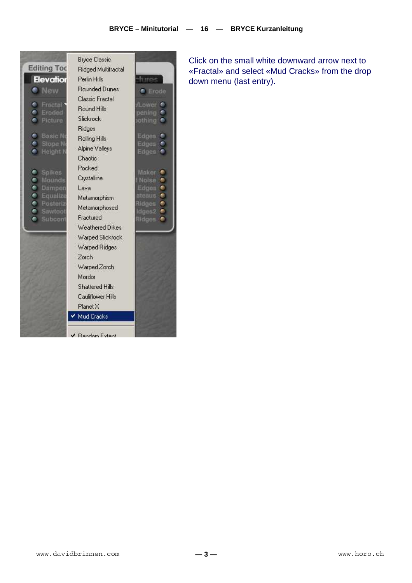

Click on the small white downward arrow next to «Fractal» and select «Mud Cracks» from the drop down menu (last entry).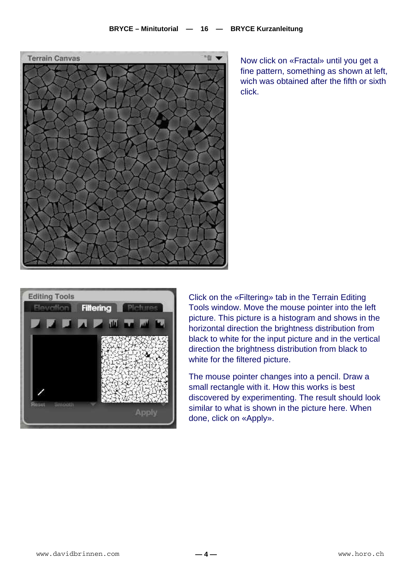

Now click on «Fractal» until you get a fine pattern, something as shown at left, wich was obtained after the fifth or sixth click.



Click on the «Filtering» tab in the Terrain Editing Tools window. Move the mouse pointer into the left picture. This picture is a histogram and shows in the horizontal direction the brightness distribution from black to white for the input picture and in the vertical direction the brightness distribution from black to white for the filtered picture.

The mouse pointer changes into a pencil. Draw a small rectangle with it. How this works is best discovered by experimenting. The result should look similar to what is shown in the picture here. When done, click on «Apply».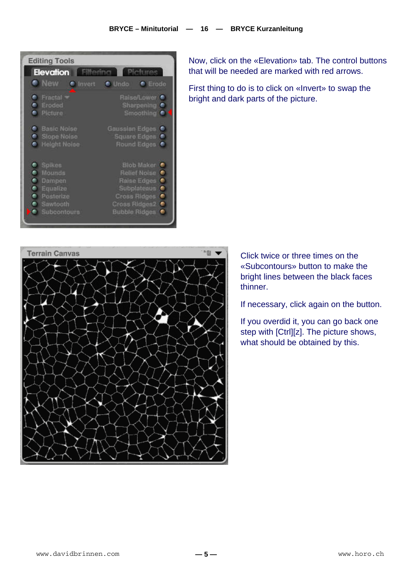

Now, click on the «Elevation» tab. The control buttons that will be needed are marked with red arrows.

First thing to do is to click on «Invert» to swap the bright and dark parts of the picture.



Click twice or three times on the «Subcontours» button to make the bright lines between the black faces thinner.

If necessary, click again on the button.

If you overdid it, you can go back one step with [Ctrl][z]. The picture shows, what should be obtained by this.